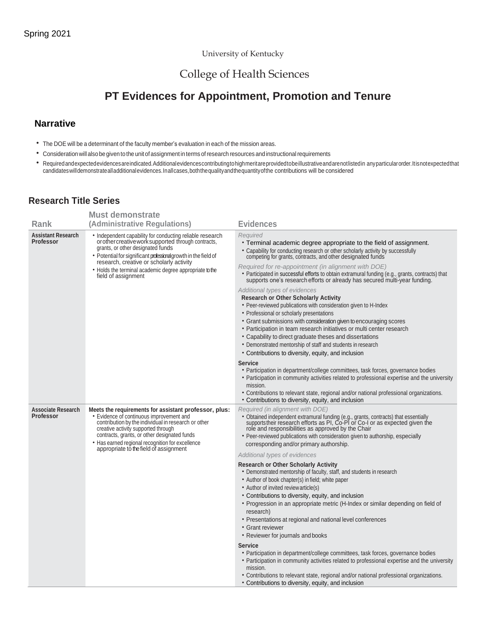#### University of Kentucky

## College of Health Sciences

# **PT Evidences for Appointment, Promotion and Tenure**

### **Narrative**

- The DOE will be a determinant of the faculty member's evaluation in each of the mission areas.
- Consideration will also be given to the unit of assignment in terms of research resources and instructional requirements
- Requiredandexpectedevidencesareindicated.Additionalevidencescontributingtohighmeritareprovidedtobeillustrativeandarenotlistedin anyparticularorder.Itisnotexpectedthat candidateswilldemonstratealladditionalevidences.Inallcases,boththequalityandthequantityofthe contributions will be considered

### **Research Title Series**

|                                               | <b>Must demonstrate</b>                                                                                                                                                                                                                                                                                                                                |                                                                                                                                                                                                                                                                                                                                                                                                                                                                                                                                                                                                                                                                                                                                                                                                                                                                                                                                                                                                                                                                                                                                                                                                                                                                                                                                                       |
|-----------------------------------------------|--------------------------------------------------------------------------------------------------------------------------------------------------------------------------------------------------------------------------------------------------------------------------------------------------------------------------------------------------------|-------------------------------------------------------------------------------------------------------------------------------------------------------------------------------------------------------------------------------------------------------------------------------------------------------------------------------------------------------------------------------------------------------------------------------------------------------------------------------------------------------------------------------------------------------------------------------------------------------------------------------------------------------------------------------------------------------------------------------------------------------------------------------------------------------------------------------------------------------------------------------------------------------------------------------------------------------------------------------------------------------------------------------------------------------------------------------------------------------------------------------------------------------------------------------------------------------------------------------------------------------------------------------------------------------------------------------------------------------|
| Rank                                          | (Administrative Regulations)                                                                                                                                                                                                                                                                                                                           | <b>Evidences</b>                                                                                                                                                                                                                                                                                                                                                                                                                                                                                                                                                                                                                                                                                                                                                                                                                                                                                                                                                                                                                                                                                                                                                                                                                                                                                                                                      |
| <b>Assistant Research</b><br><b>Professor</b> | • Independent capability for conducting reliable research<br>or other creative work supported through contracts,<br>grants, or other designated funds<br>• Potential for significant professional growth in the field of<br>research, creative or scholarly activity<br>• Holds the terminal academic degree appropriate to the<br>field of assignment | Required<br>• Terminal academic degree appropriate to the field of assignment.<br>• Capability for conducting research or other scholarly activity by successfully<br>competing for grants, contracts, and other designated funds<br>Required for re-appointment (in alignment with DOE)<br>• Participated in successful efforts to obtain extramural funding (e.g., grants, contracts) that<br>supports one's research efforts or already has secured multi-year funding.<br>Additional types of evidences<br><b>Research or Other Scholarly Activity</b><br>• Peer-reviewed publications with consideration given to H-Index<br>• Professional or scholarly presentations<br>• Grant submissions with consideration given to encouraging scores<br>• Participation in team research initiatives or multi center research<br>• Capability to direct graduate theses and dissertations<br>• Demonstrated mentorship of staff and students in research<br>• Contributions to diversity, equity, and inclusion<br><b>Service</b><br>• Participation in department/college committees, task forces, governance bodies<br>• Participation in community activities related to professional expertise and the university<br>mission.<br>• Contributions to relevant state, regional and/or national professional organizations.                             |
| <b>Associate Research</b><br><b>Professor</b> | Meets the requirements for assistant professor, plus:<br>· Evidence of continuous improvement and<br>contribution by the individual in research or other<br>creative activity supported through<br>contracts, grants, or other designated funds<br>• Has earned regional recognition for excellence<br>appropriate to the field of assignment          | • Contributions to diversity, equity, and inclusion<br>Required (in alignment with DOE)<br>• Obtained independent extramural funding (e.g., grants, contracts) that essentially supports their research efforts as PI, Co-PI or Co-I or as expected given the<br>role and responsibilities as approved by the Chair<br>• Peer-reviewed publications with consideration given to authorship, especially<br>corresponding and/or primary authorship.<br>Additional types of evidences<br><b>Research or Other Scholarly Activity</b><br>• Demonstrated mentorship of faculty, staff, and students in research<br>• Author of book chapter(s) in field; white paper<br>• Author of invited review article(s)<br>• Contributions to diversity, equity, and inclusion<br>• Progression in an appropriate metric (H-Index or similar depending on field of<br>research)<br>• Presentations at regional and national level conferences<br>• Grant reviewer<br>• Reviewer for journals and books<br>Service<br>• Participation in department/college committees, task forces, governance bodies<br>• Participation in community activities related to professional expertise and the university<br>mission.<br>• Contributions to relevant state, regional and/or national professional organizations.<br>• Contributions to diversity, equity, and inclusion |